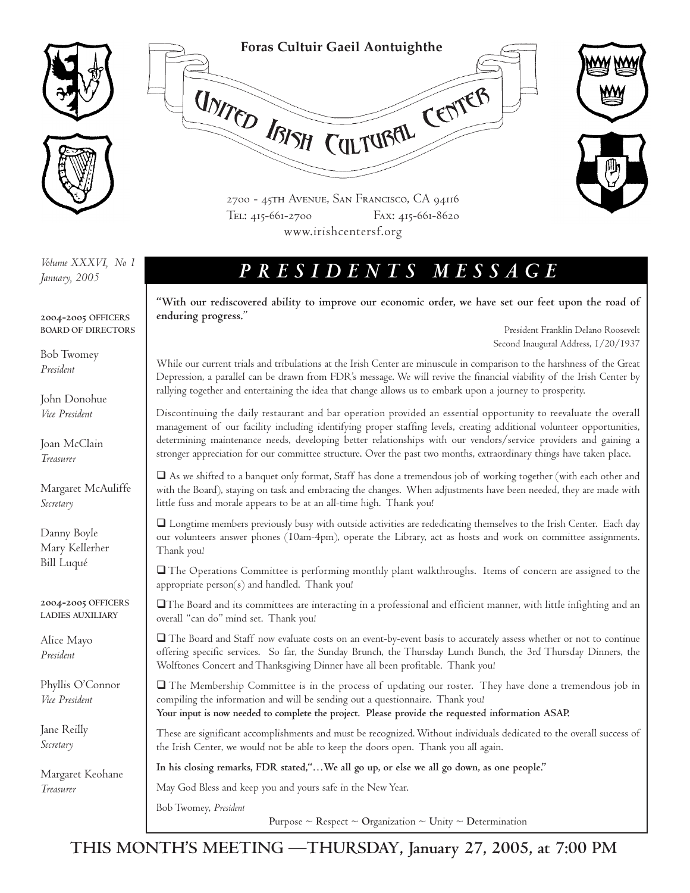

## **Foras Cultuir Gaeil Aontuighthe**

UNITED IBISH CULTUBEL CENTER



2700 - 45th Avenue, San Francisco, CA 94116 TEL: 415-661-2700 FAX: 415-661-8620 www.irishcentersf.org

*January, 2005*

**2004-2005 OFFICERS BOARD OF DIRECTORS**

Bob Twomey *President*

John Donohue *Vice President*

Joan McClain *Treasurer*

Margaret McAuliffe *Secretary*

Danny Boyle Mary Kellerher Bill Luqué

**2004-2005 OFFICERS LADIES AUXILIARY**

Alice Mayo *President*

Phyllis O'Connor *Vice President*

Jane Reilly *Secretary*

Margaret Keohane *Treasurer*

## *PRESIDENTS MESSAGE Volume XXXVI, No 1*

**"With our rediscovered ability to improve our economic order, we have set our feet upon the road of enduring progress.**"

> President Franklin Delano Roosevelt Second Inaugural Address, 1/20/1937

While our current trials and tribulations at the Irish Center are minuscule in comparison to the harshness of the Great Depression, a parallel can be drawn from FDR's message. We will revive the financial viability of the Irish Center by rallying together and entertaining the idea that change allows us to embark upon a journey to prosperity.

Discontinuing the daily restaurant and bar operation provided an essential opportunity to reevaluate the overall management of our facility including identifying proper staffing levels, creating additional volunteer opportunities, determining maintenance needs, developing better relationships with our vendors/service providers and gaining a stronger appreciation for our committee structure. Over the past two months, extraordinary things have taken place.

 As we shifted to a banquet only format, Staff has done a tremendous job of working together (with each other and with the Board), staying on task and embracing the changes. When adjustments have been needed, they are made with little fuss and morale appears to be at an all-time high. Thank you!

 Longtime members previously busy with outside activities are rededicating themselves to the Irish Center. Each day our volunteers answer phones (10am-4pm), operate the Library, act as hosts and work on committee assignments. Thank you!

 The Operations Committee is performing monthly plant walkthroughs. Items of concern are assigned to the appropriate person(s) and handled. Thank you!

The Board and its committees are interacting in a professional and efficient manner, with little infighting and an overall "can do" mind set. Thank you!

 The Board and Staff now evaluate costs on an event-by-event basis to accurately assess whether or not to continue offering specific services. So far, the Sunday Brunch, the Thursday Lunch Bunch, the 3rd Thursday Dinners, the Wolftones Concert and Thanksgiving Dinner have all been profitable. Thank you!

 The Membership Committee is in the process of updating our roster. They have done a tremendous job in compiling the information and will be sending out a questionnaire. Thank you! **Your input is now needed to complete the project. Please provide the requested information ASAP.**

These are significant accomplishments and must be recognized. Without individuals dedicated to the overall success of the Irish Center, we would not be able to keep the doors open. Thank you all again.

**In his closing remarks, FDR stated,"…We all go up, or else we all go down, as one people."**

May God Bless and keep you and yours safe in the New Year.

Bob Twomey, *President* 

**Purpose ~ Respect ~ Organization ~ Unity ~ Determination** 

**THIS MONTH'S MEETING —THURSDAY, January 27, 2005, at 7:00 PM**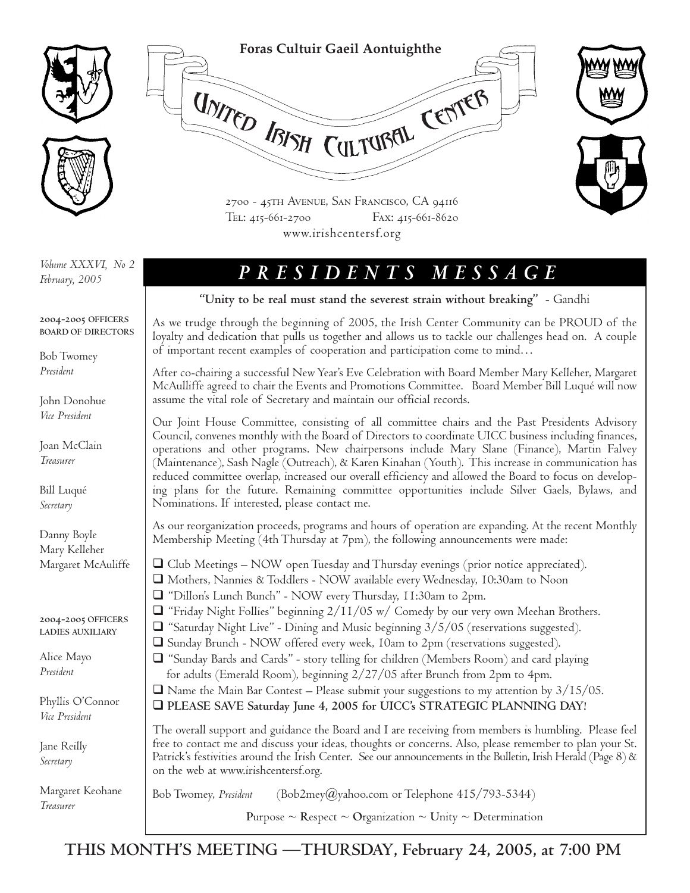

*February, 2005*

#### **2004-2005 OFFICERS BOARD OF DIRECTORS**

Bob Twomey *President*

John Donohue *Vice President*

Joan McClain *Treasurer*

Bill Luqué *Secretary*

Danny Boyle Mary Kelleher Margaret McAuliffe

**2004-2005 OFFICERS LADIES AUXILIARY**

Alice Mayo *President*

Phyllis O'Connor *Vice President*

Jane Reilly *Secretary*

Margaret Keohane *Treasurer*

# *PRESIDENTS MESSAGE Volume XXXVI, No 2*

**"Unity to be real must stand the severest strain without breaking"** - Gandhi

As we trudge through the beginning of 2005, the Irish Center Community can be PROUD of the loyalty and dedication that pulls us together and allows us to tackle our challenges head on. A couple of important recent examples of cooperation and participation come to mind…

After co-chairing a successful New Year's Eve Celebration with Board Member Mary Kelleher, Margaret McAulliffe agreed to chair the Events and Promotions Committee. Board Member Bill Luqué will now assume the vital role of Secretary and maintain our official records.

Our Joint House Committee, consisting of all committee chairs and the Past Presidents Advisory Council, convenes monthly with the Board of Directors to coordinate UICC business including finances, operations and other programs. New chairpersons include Mary Slane (Finance), Martin Falvey (Maintenance), Sash Nagle (Outreach), & Karen Kinahan (Youth). This increase in communication has reduced committee overlap, increased our overall efficiency and allowed the Board to focus on developing plans for the future. Remaining committee opportunities include Silver Gaels, Bylaws, and Nominations. If interested, please contact me.

As our reorganization proceeds, programs and hours of operation are expanding. At the recent Monthly Membership Meeting (4th Thursday at 7pm), the following announcements were made:

- $\Box$  Club Meetings NOW open Tuesday and Thursday evenings (prior notice appreciated). Mothers, Nannies & Toddlers - NOW available every Wednesday, 10:30am to Noon "Dillon's Lunch Bunch" - NOW every Thursday, 11:30am to 2pm.
- $\Box$  "Friday Night Follies" beginning  $2/11/05$  w/ Comedy by our very own Meehan Brothers.
- $\Box$  "Saturday Night Live" Dining and Music beginning  $3/5/05$  (reservations suggested).
- Sunday Brunch NOW offered every week, 10am to 2pm (reservations suggested).
- $\Box$  "Sunday Bards and Cards" story telling for children (Members Room) and card playing for adults (Emerald Room), beginning 2/27/05 after Brunch from 2pm to 4pm.
- $\Box$  Name the Main Bar Contest Please submit your suggestions to my attention by  $3/15/05$ .
- **PLEASE SAVE Saturday June 4, 2005 for UICC's STRATEGIC PLANNING DAY!**

The overall support and guidance the Board and I are receiving from members is humbling. Please feel free to contact me and discuss your ideas, thoughts or concerns. Also, please remember to plan your St. Patrick's festivities around the Irish Center. See our announcements in the Bulletin, Irish Herald (Page 8) & on the web at www.irishcentersf.org.

Bob Twomey, *President* (Bob2mey@yahoo.com or Telephone 415/793-5344)

**P**urpose ~ **R**espect ~ **O**rganization ~ **U**nity ~ **D**etermination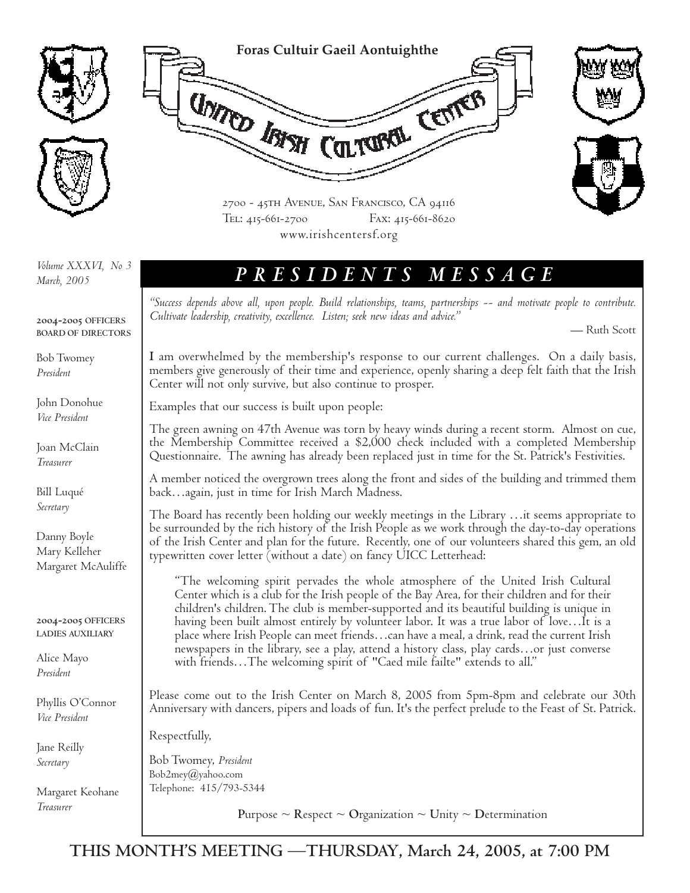

*March, 2005*

*PRESIDENTS MESSAGE Volume XXXVI, No 3*

*"Success depends above all, upon people. Build relationships, teams, partnerships -- and motivate people to contribute. Cultivate leadership, creativity, excellence. Listen; seek new ideas and advice."*

— Ruth Scott

**I** am overwhelmed by the membership's response to our current challenges. On a daily basis, members give generously of their time and experience, openly sharing a deep felt faith that the Irish Center will not only survive, but also continue to prosper.

Examples that our success is built upon people:

The green awning on 47th Avenue was torn by heavy winds during a recent storm. Almost on cue, the Membership Committee received a \$2,000 check included with a completed Membership Questionnaire. The awning has already been replaced just in time for the St. Patrick's Festivities.

A member noticed the overgrown trees along the front and sides of the building and trimmed them back…again, just in time for Irish March Madness.

The Board has recently been holding our weekly meetings in the Library …it seems appropriate to be surrounded by the rich history of the Irish People as we work through the day-to-day operations of the Irish Center and plan for the future. Recently, one of our volunteers shared this gem, an old typewritten cover letter (without a date) on fancy UICC Letterhead:

"The welcoming spirit pervades the whole atmosphere of the United Irish Cultural Center which is a club for the Irish people of the Bay Area, for their children and for their children's children. The club is member-supported and its beautiful building is unique in having been built almost entirely by volunteer labor. It was a true labor of love…It is a place where Irish People can meet friends…can have a meal, a drink, read the current Irish newspapers in the library, see a play, attend a history class, play cards…or just converse with friends…The welcoming spirit of "Caed mile failte" extends to all."

Please come out to the Irish Center on March 8, 2005 from 5pm-8pm and celebrate our 30th Anniversary with dancers, pipers and loads of fun. It's the perfect prelude to the Feast of St. Patrick.

Respectfully,

Bob Twomey, *President* Bob2mey@yahoo.com Telephone: 415/793-5344

**Purpose ~ Respect ~ Organization ~ Unity ~ Determination** 

**2004-2005 OFFICERS BOARD OF DIRECTORS**

Bob Twomey *President*

John Donohue *Vice President*

Joan McClain *Treasurer*

Bill Luqué *Secretary*

Danny Boyle Mary Kelleher Margaret McAuliffe

**2004-2005 OFFICERS LADIES AUXILIARY**

Alice Mayo *President*

Phyllis O'Connor *Vice President*

Jane Reilly *Secretary*

Margaret Keohane *Treasurer*

**THIS MONTH'S MEETING —THURSDAY, March 24, 2005, at 7:00 PM**